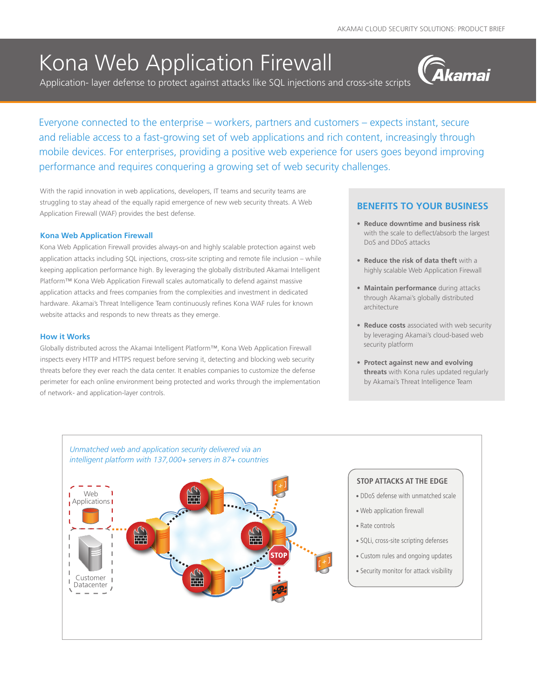# Kona Web Application Firewall

Application- layer defense to protect against attacks like SQL injections and cross-site scripts



Everyone connected to the enterprise – workers, partners and customers – expects instant, secure and reliable access to a fast-growing set of web applications and rich content, increasingly through mobile devices. For enterprises, providing a positive web experience for users goes beyond improving performance and requires conquering a growing set of web security challenges.

With the rapid innovation in web applications, developers, IT teams and security teams are struggling to stay ahead of the equally rapid emergence of new web security threats. A Web Application Firewall (WAF) provides the best defense.

#### **Kona Web Application Firewall**

Kona Web Application Firewall provides always-on and highly scalable protection against web application attacks including SQL injections, cross-site scripting and remote file inclusion – while keeping application performance high. By leveraging the globally distributed Akamai Intelligent Platform™ Kona Web Application Firewall scales automatically to defend against massive application attacks and frees companies from the complexities and investment in dedicated hardware. Akamai's Threat Intelligence Team continuously refines Kona WAF rules for known website attacks and responds to new threats as they emerge.

#### **How it Works**

Globally distributed across the Akamai Intelligent Platform™, Kona Web Application Firewall inspects every HTTP and HTTPS request before serving it, detecting and blocking web security threats before they ever reach the data center. It enables companies to customize the defense perimeter for each online environment being protected and works through the implementation of network- and application-layer controls.

### **BENEFITS TO YOUR BUSINESS**

- **• Reduce downtime and business risk**  with the scale to deflect/absorb the largest DoS and DDoS attacks
- **• Reduce the risk of data theft** with a highly scalable Web Application Firewall
- **• Maintain performance** during attacks through Akamai's globally distributed architecture
- **Reduce costs** associated with web security by leveraging Akamai's cloud-based web security platform
- **• Protect against new and evolving threats** with Kona rules updated regularly by Akamai's Threat Intelligence Team



# **STOP ATTACKS AT THE EDGE**

- DDoS defense with unmatched scale
- Web application firewall
- Rate controls
- SQLi, cross-site scripting defenses
- Custom rules and ongoing updates
- Security monitor for attack visibility